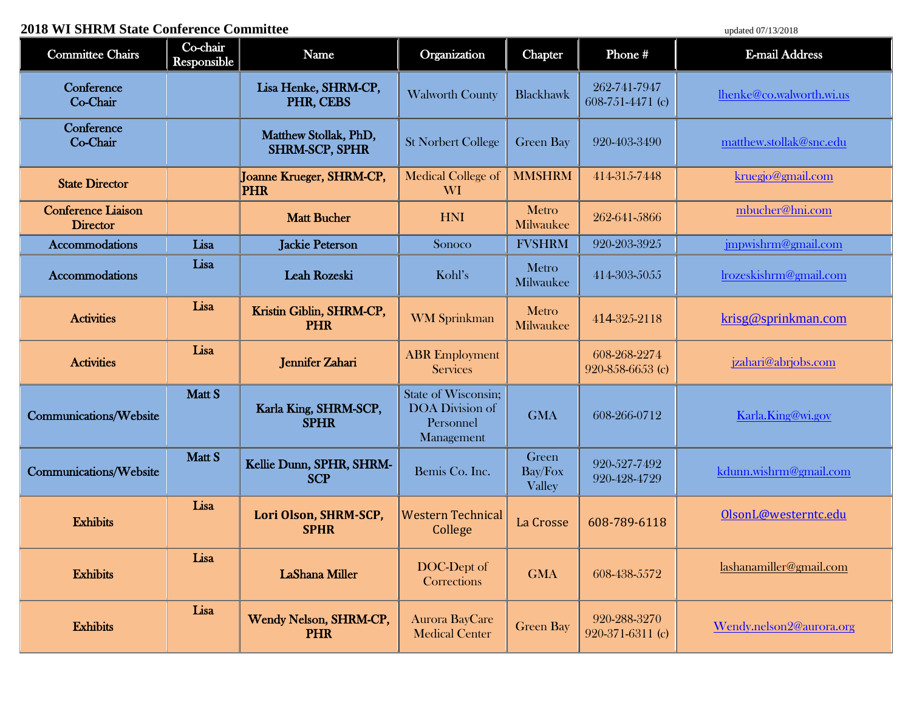## **2018 WI SHRM State Conference Committee** updated 07/13/2018

| <b>Committee Chairs</b>                      | Co-chair<br>Responsible | Name                                           | Organization                                                             | <b>Chapter</b>             | Phone#                           | <b>E-mail Address</b>    |
|----------------------------------------------|-------------------------|------------------------------------------------|--------------------------------------------------------------------------|----------------------------|----------------------------------|--------------------------|
| Conference<br>Co-Chair                       |                         | Lisa Henke, SHRM-CP,<br>PHR, CEBS              | <b>Walworth County</b>                                                   | <b>Blackhawk</b>           | 262-741-7947<br>608-751-4471 (c) | lhenke@co.walworth.wi.us |
| Conference<br>Co-Chair                       |                         | Matthew Stollak, PhD,<br><b>SHRM-SCP, SPHR</b> | <b>St Norbert College</b>                                                | <b>Green Bay</b>           | 920-403-3490                     | matthew.stollak@snc.edu  |
| <b>State Director</b>                        |                         | Joanne Krueger, SHRM-CP,<br><b>PHR</b>         | Medical College of<br>WI <sup>1</sup>                                    | <b>MMSHRM</b>              | 414-315-7448                     | kruegjo@gmail.com        |
| <b>Conference Liaison</b><br><b>Director</b> |                         | <b>Matt Bucher</b>                             | <b>HNI</b>                                                               | Metro<br>Milwaukee         | 262-641-5866                     | mbucher@hni.com          |
| <b>Accommodations</b>                        | Lisa                    | <b>Jackie Peterson</b>                         | Sonoco                                                                   | <b>FVSHRM</b>              | 920-203-3925                     | jmpwishrm@gmail.com      |
| <b>Accommodations</b>                        | Lisa                    | Leah Rozeski                                   | Kohl's                                                                   | Metro<br>Milwaukee         | 414-303-5055                     | lrozeskishrm@gmail.com   |
| <b>Activities</b>                            | Lisa                    | Kristin Giblin, SHRM-CP,<br><b>PHR</b>         | <b>WM</b> Sprinkman                                                      | Metro<br>Milwaukee         | 414-325-2118                     | krisg@sprinkman.com      |
| <b>Activities</b>                            | Lisa                    | Jennifer Zahari                                | <b>ABR</b> Employment<br><b>Services</b>                                 |                            | 608-268-2274<br>920-858-6653 (c) | jzahari@abrjobs.com      |
| Communications/Website                       | Matt S                  | Karla King, SHRM-SCP,<br><b>SPHR</b>           | State of Wisconsin;<br><b>DOA</b> Division of<br>Personnel<br>Management | <b>GMA</b>                 | 608-266-0712                     | Karla.King@wi.gov        |
| Communications/Website                       | Matt S                  | Kellie Dunn, SPHR, SHRM-<br><b>SCP</b>         | Bemis Co. Inc.                                                           | Green<br>Bay/Fox<br>Valley | 920-527-7492<br>920-428-4729     | kdunn.wishrm@gmail.com   |
| <b>Exhibits</b>                              | Lisa                    | Lori Olson, SHRM-SCP,<br><b>SPHR</b>           | <b>Western Technical</b><br>College                                      | La Crosse                  | 608-789-6118                     | OlsonL@westerntc.edu     |
| <b>Exhibits</b>                              | Lisa                    | <b>LaShana Miller</b>                          | DOC-Dept of<br>Corrections                                               | <b>GMA</b>                 | 608-438-5572                     | lashanamiller@gmail.com  |
| <b>Exhibits</b>                              | Lisa                    | Wendy Nelson, SHRM-CP,<br><b>PHR</b>           | <b>Aurora BayCare</b><br><b>Medical Center</b>                           | <b>Green Bay</b>           | 920-288-3270<br>920-371-6311 (c) | Wendy.nelson2@aurora.org |